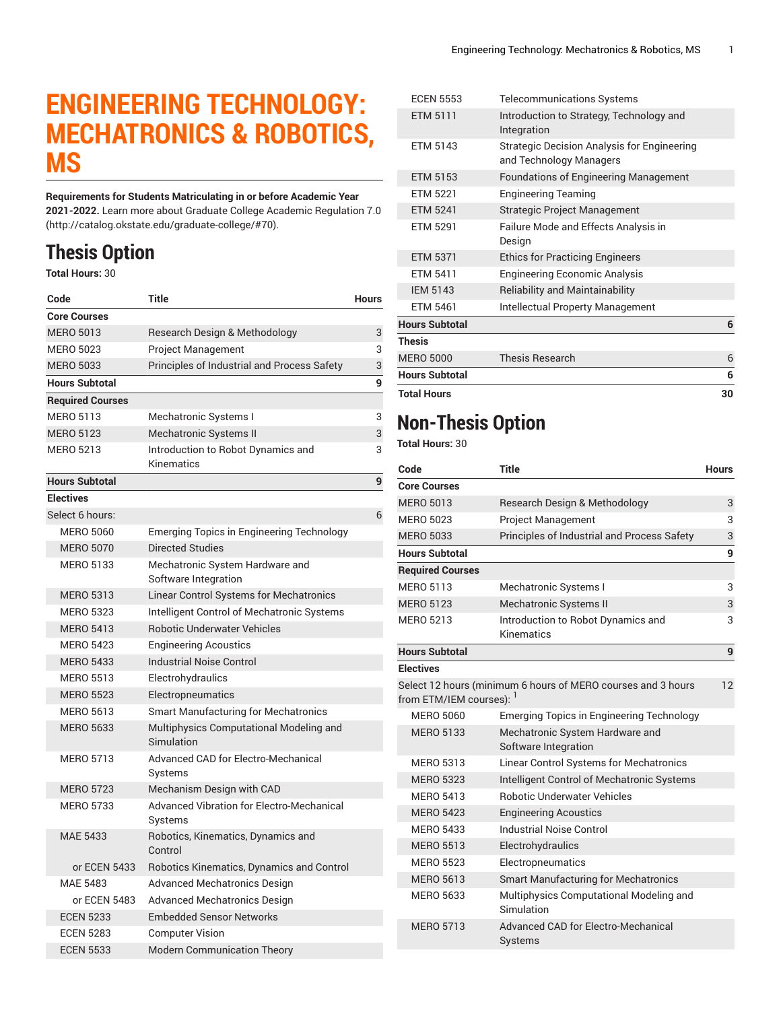## **ENGINEERING TECHNOLOGY: MECHATRONICS & ROBOTICS, MS**

**Requirements for Students Matriculating in or before Academic Year 2021-2022.** Learn more about [Graduate College Academic Regulation 7.0](http://catalog.okstate.edu/graduate-college/#70) (<http://catalog.okstate.edu/graduate-college/#70>).

## **Thesis Option**

**Total Hours:** 30

| Code                    | Title                                                       | <b>Hours</b> |
|-------------------------|-------------------------------------------------------------|--------------|
| <b>Core Courses</b>     |                                                             |              |
| <b>MERO 5013</b>        | Research Design & Methodology                               | 3            |
| <b>MERO 5023</b>        | Project Management                                          | 3            |
| <b>MERO 5033</b>        | Principles of Industrial and Process Safety                 | 3            |
| <b>Hours Subtotal</b>   |                                                             | 9            |
| <b>Required Courses</b> |                                                             |              |
| <b>MERO 5113</b>        | Mechatronic Systems I                                       | 3            |
| <b>MERO 5123</b>        | Mechatronic Systems II                                      | 3            |
| <b>MERO 5213</b>        | Introduction to Robot Dynamics and<br>Kinematics            | 3            |
| <b>Hours Subtotal</b>   |                                                             | 9            |
| <b>Electives</b>        |                                                             |              |
| Select 6 hours:         |                                                             | 6            |
| <b>MERO 5060</b>        | Emerging Topics in Engineering Technology                   |              |
| <b>MERO 5070</b>        | <b>Directed Studies</b>                                     |              |
| <b>MERO 5133</b>        | Mechatronic System Hardware and<br>Software Integration     |              |
| <b>MERO 5313</b>        | Linear Control Systems for Mechatronics                     |              |
| <b>MERO 5323</b>        | Intelligent Control of Mechatronic Systems                  |              |
| <b>MERO 5413</b>        | <b>Robotic Underwater Vehicles</b>                          |              |
| <b>MERO 5423</b>        | <b>Engineering Acoustics</b>                                |              |
| <b>MERO 5433</b>        | <b>Industrial Noise Control</b>                             |              |
| <b>MERO 5513</b>        | Electrohydraulics                                           |              |
| <b>MERO 5523</b>        | Electropneumatics                                           |              |
| <b>MERO 5613</b>        | <b>Smart Manufacturing for Mechatronics</b>                 |              |
| <b>MERO 5633</b>        | Multiphysics Computational Modeling and<br>Simulation       |              |
| <b>MERO 5713</b>        | <b>Advanced CAD for Electro-Mechanical</b><br>Systems       |              |
| <b>MERO 5723</b>        | Mechanism Design with CAD                                   |              |
| <b>MERO 5733</b>        | <b>Advanced Vibration for Electro-Mechanical</b><br>Systems |              |
| <b>MAE 5433</b>         | Robotics, Kinematics, Dynamics and<br>Control               |              |
| or ECEN 5433            | Robotics Kinematics, Dynamics and Control                   |              |
| <b>MAE 5483</b>         | <b>Advanced Mechatronics Design</b>                         |              |
| or ECEN 5483            | <b>Advanced Mechatronics Design</b>                         |              |
| <b>ECEN 5233</b>        | <b>Embedded Sensor Networks</b>                             |              |
| <b>ECEN 5283</b>        | <b>Computer Vision</b>                                      |              |
| <b>ECEN 5533</b>        | <b>Modern Communication Theory</b>                          |              |

| <b>ECEN 5553</b>      | Telecommunications Systems                                                    |    |
|-----------------------|-------------------------------------------------------------------------------|----|
| ETM 5111              | Introduction to Strategy, Technology and<br>Integration                       |    |
| ETM 5143              | <b>Strategic Decision Analysis for Engineering</b><br>and Technology Managers |    |
| <b>ETM 5153</b>       | <b>Foundations of Engineering Management</b>                                  |    |
| FTM 5221              | <b>Engineering Teaming</b>                                                    |    |
| <b>ETM 5241</b>       | <b>Strategic Project Management</b>                                           |    |
| <b>ETM 5291</b>       | Failure Mode and Effects Analysis in<br>Design                                |    |
| <b>ETM 5371</b>       | <b>Ethics for Practicing Engineers</b>                                        |    |
| <b>ETM 5411</b>       | <b>Engineering Economic Analysis</b>                                          |    |
| <b>IEM 5143</b>       | <b>Reliability and Maintainability</b>                                        |    |
| <b>ETM 5461</b>       | <b>Intellectual Property Management</b>                                       |    |
| <b>Hours Subtotal</b> |                                                                               | 6  |
| <b>Thesis</b>         |                                                                               |    |
| <b>MERO 5000</b>      | <b>Thesis Research</b>                                                        | 6  |
| <b>Hours Subtotal</b> |                                                                               | 6  |
| <b>Total Hours</b>    |                                                                               | 30 |

## **Non-Thesis Option**

**Total Hours:** 30

| Code                                | <b>Title</b>                                                 | <b>Hours</b> |
|-------------------------------------|--------------------------------------------------------------|--------------|
| Core Courses                        |                                                              |              |
| <b>MERO 5013</b>                    | Research Design & Methodology                                | 3            |
| <b>MERO 5023</b>                    | <b>Project Management</b>                                    | 3            |
| <b>MERO 5033</b>                    | Principles of Industrial and Process Safety                  | 3            |
| <b>Hours Subtotal</b>               |                                                              | 9            |
| <b>Required Courses</b>             |                                                              |              |
| <b>MERO 5113</b>                    | Mechatronic Systems I                                        | 3            |
| <b>MERO 5123</b>                    | <b>Mechatronic Systems II</b>                                | 3            |
| <b>MERO 5213</b>                    | Introduction to Robot Dynamics and<br>Kinematics             | 3            |
| <b>Hours Subtotal</b>               |                                                              | 9            |
| Electives                           |                                                              |              |
|                                     | Select 12 hours (minimum 6 hours of MERO courses and 3 hours | 12           |
| from ETM/IEM courses): <sup>1</sup> |                                                              |              |
| <b>MERO 5060</b>                    | <b>Emerging Topics in Engineering Technology</b>             |              |
| <b>MERO 5133</b>                    | Mechatronic System Hardware and                              |              |
|                                     | Software Integration                                         |              |
| <b>MERO 5313</b>                    | <b>Linear Control Systems for Mechatronics</b>               |              |
| <b>MERO 5323</b>                    | Intelligent Control of Mechatronic Systems                   |              |
| <b>MERO 5413</b>                    | <b>Robotic Underwater Vehicles</b>                           |              |
| <b>MERO 5423</b>                    | <b>Engineering Acoustics</b>                                 |              |
| <b>MERO 5433</b>                    | <b>Industrial Noise Control</b>                              |              |
| <b>MERO 5513</b>                    | Electrohydraulics                                            |              |
| <b>MERO 5523</b>                    | Electropneumatics                                            |              |
| <b>MERO 5613</b>                    | <b>Smart Manufacturing for Mechatronics</b>                  |              |
| <b>MERO 5633</b>                    | Multiphysics Computational Modeling and<br>Simulation        |              |
| <b>MERO 5713</b>                    | Advanced CAD for Electro-Mechanical<br>Systems               |              |
|                                     |                                                              |              |